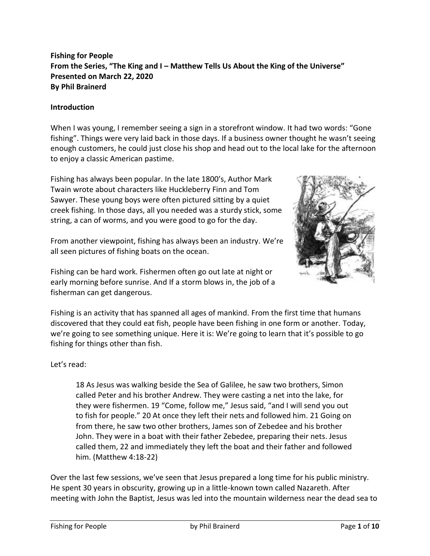# **Fishing for People From the Series, "The King and I – Matthew Tells Us About the King of the Universe" Presented on March 22, 2020 By Phil Brainerd**

#### **Introduction**

When I was young, I remember seeing a sign in a storefront window. It had two words: "Gone fishing". Things were very laid back in those days. If a business owner thought he wasn't seeing enough customers, he could just close his shop and head out to the local lake for the afternoon to enjoy a classic American pastime.

Fishing has always been popular. In the late 1800's, Author Mark Twain wrote about characters like Huckleberry Finn and Tom Sawyer. These young boys were often pictured sitting by a quiet creek fishing. In those days, all you needed was a sturdy stick, some string, a can of worms, and you were good to go for the day.

From another viewpoint, fishing has always been an industry. We're all seen pictures of fishing boats on the ocean.

Fishing can be hard work. Fishermen often go out late at night or early morning before sunrise. And If a storm blows in, the job of a fisherman can get dangerous.



Fishing is an activity that has spanned all ages of mankind. From the first time that humans discovered that they could eat fish, people have been fishing in one form or another. Today, we're going to see something unique. Here it is: We're going to learn that it's possible to go fishing for things other than fish.

## Let's read:

18 As Jesus was walking beside the Sea of Galilee, he saw two brothers, Simon called Peter and his brother Andrew. They were casting a net into the lake, for they were fishermen. 19 "Come, follow me," Jesus said, "and I will send you out to fish for people." 20 At once they left their nets and followed him. 21 Going on from there, he saw two other brothers, James son of Zebedee and his brother John. They were in a boat with their father Zebedee, preparing their nets. Jesus called them, 22 and immediately they left the boat and their father and followed him. (Matthew 4:18-22)

Over the last few sessions, we've seen that Jesus prepared a long time for his public ministry. He spent 30 years in obscurity, growing up in a little-known town called Nazareth. After meeting with John the Baptist, Jesus was led into the mountain wilderness near the dead sea to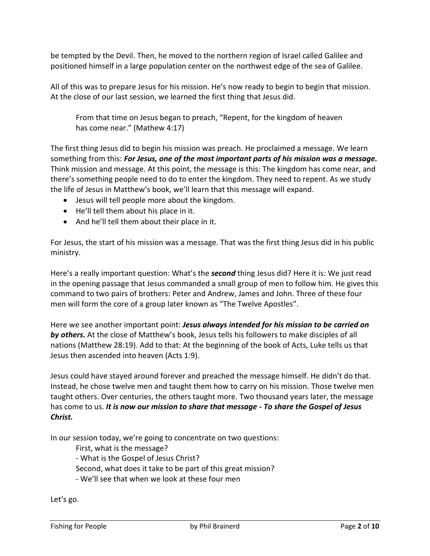be tempted by the Devil. Then, he moved to the northern region of Israel called Galilee and positioned himself in a large population center on the northwest edge of the sea of Galilee.

All of this was to prepare Jesus for his mission. He's now ready to begin to begin that mission. At the close of our last session, we learned the first thing that Jesus did.

From that time on Jesus began to preach, "Repent, for the kingdom of heaven has come near." (Mathew 4:17)

The first thing Jesus did to begin his mission was preach. He proclaimed a message. We learn something from this: *For Jesus, one of the most important parts of his mission was a message.* Think mission and message. At this point, the message is this: The kingdom has come near, and there's something people need to do to enter the kingdom. They need to repent. As we study the life of Jesus in Matthew's book, we'll learn that this message will expand.

- Jesus will tell people more about the kingdom.
- He'll tell them about his place in it.
- And he'll tell them about their place in it.

For Jesus, the start of his mission was a message. That was the first thing Jesus did in his public ministry.

Here's a really important question: What's the *second* thing Jesus did? Here it is: We just read in the opening passage that Jesus commanded a small group of men to follow him. He gives this command to two pairs of brothers: Peter and Andrew, James and John. Three of these four men will form the core of a group later known as "The Twelve Apostles".

Here we see another important point: *Jesus always intended for his mission to be carried on by others.* At the close of Matthew's book, Jesus tells his followers to make disciples of all nations (Matthew 28:19). Add to that: At the beginning of the book of Acts, Luke tells us that Jesus then ascended into heaven (Acts 1:9).

Jesus could have stayed around forever and preached the message himself. He didn't do that. Instead, he chose twelve men and taught them how to carry on his mission. Those twelve men taught others. Over centuries, the others taught more. Two thousand years later, the message has come to us. *It is now our mission to share that message - To share the Gospel of Jesus Christ.*

In our session today, we're going to concentrate on two questions:

First, what is the message?

- What is the Gospel of Jesus Christ?

Second, what does it take to be part of this great mission?

- We'll see that when we look at these four men

Let's go.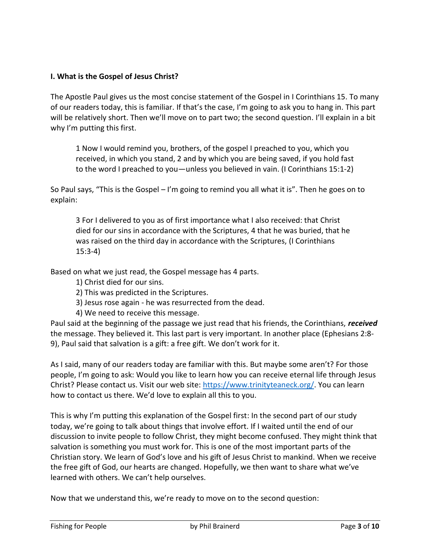## **I. What is the Gospel of Jesus Christ?**

The Apostle Paul gives us the most concise statement of the Gospel in I Corinthians 15. To many of our readers today, this is familiar. If that's the case, I'm going to ask you to hang in. This part will be relatively short. Then we'll move on to part two; the second question. I'll explain in a bit why I'm putting this first.

1 Now I would remind you, brothers, of the gospel I preached to you, which you received, in which you stand, 2 and by which you are being saved, if you hold fast to the word I preached to you—unless you believed in vain. (I Corinthians 15:1-2)

So Paul says, "This is the Gospel – I'm going to remind you all what it is". Then he goes on to explain:

3 For I delivered to you as of first importance what I also received: that Christ died for our sins in accordance with the Scriptures, 4 that he was buried, that he was raised on the third day in accordance with the Scriptures, (I Corinthians 15:3-4)

Based on what we just read, the Gospel message has 4 parts.

- 1) Christ died for our sins.
- 2) This was predicted in the Scriptures.
- 3) Jesus rose again he was resurrected from the dead.
- 4) We need to receive this message.

Paul said at the beginning of the passage we just read that his friends, the Corinthians, *received* the message. They believed it. This last part is very important. In another place (Ephesians 2:8- 9), Paul said that salvation is a gift: a free gift. We don't work for it.

As I said, many of our readers today are familiar with this. But maybe some aren't? For those people, I'm going to ask: Would you like to learn how you can receive eternal life through Jesus Christ? Please contact us. Visit our web site: [https://www.trinityteaneck.org/.](https://www.trinityteaneck.org/) You can learn how to contact us there. We'd love to explain all this to you.

This is why I'm putting this explanation of the Gospel first: In the second part of our study today, we're going to talk about things that involve effort. If I waited until the end of our discussion to invite people to follow Christ, they might become confused. They might think that salvation is something you must work for. This is one of the most important parts of the Christian story. We learn of God's love and his gift of Jesus Christ to mankind. When we receive the free gift of God, our hearts are changed. Hopefully, we then want to share what we've learned with others. We can't help ourselves.

Now that we understand this, we're ready to move on to the second question: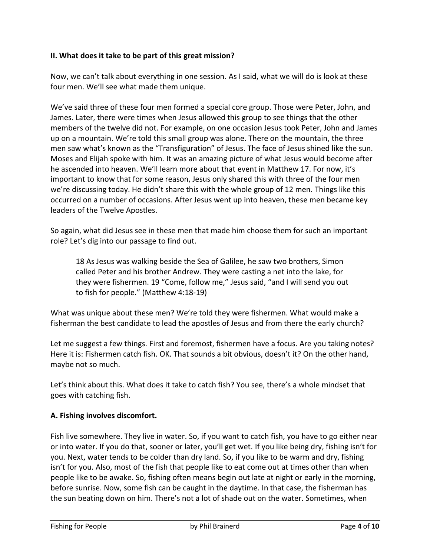## **II. What does it take to be part of this great mission?**

Now, we can't talk about everything in one session. As I said, what we will do is look at these four men. We'll see what made them unique.

We've said three of these four men formed a special core group. Those were Peter, John, and James. Later, there were times when Jesus allowed this group to see things that the other members of the twelve did not. For example, on one occasion Jesus took Peter, John and James up on a mountain. We're told this small group was alone. There on the mountain, the three men saw what's known as the "Transfiguration" of Jesus. The face of Jesus shined like the sun. Moses and Elijah spoke with him. It was an amazing picture of what Jesus would become after he ascended into heaven. We'll learn more about that event in Matthew 17. For now, it's important to know that for some reason, Jesus only shared this with three of the four men we're discussing today. He didn't share this with the whole group of 12 men. Things like this occurred on a number of occasions. After Jesus went up into heaven, these men became key leaders of the Twelve Apostles.

So again, what did Jesus see in these men that made him choose them for such an important role? Let's dig into our passage to find out.

18 As Jesus was walking beside the Sea of Galilee, he saw two brothers, Simon called Peter and his brother Andrew. They were casting a net into the lake, for they were fishermen. 19 "Come, follow me," Jesus said, "and I will send you out to fish for people." (Matthew 4:18-19)

What was unique about these men? We're told they were fishermen. What would make a fisherman the best candidate to lead the apostles of Jesus and from there the early church?

Let me suggest a few things. First and foremost, fishermen have a focus. Are you taking notes? Here it is: Fishermen catch fish. OK. That sounds a bit obvious, doesn't it? On the other hand, maybe not so much.

Let's think about this. What does it take to catch fish? You see, there's a whole mindset that goes with catching fish.

#### **A. Fishing involves discomfort.**

Fish live somewhere. They live in water. So, if you want to catch fish, you have to go either near or into water. If you do that, sooner or later, you'll get wet. If you like being dry, fishing isn't for you. Next, water tends to be colder than dry land. So, if you like to be warm and dry, fishing isn't for you. Also, most of the fish that people like to eat come out at times other than when people like to be awake. So, fishing often means begin out late at night or early in the morning, before sunrise. Now, some fish can be caught in the daytime. In that case, the fisherman has the sun beating down on him. There's not a lot of shade out on the water. Sometimes, when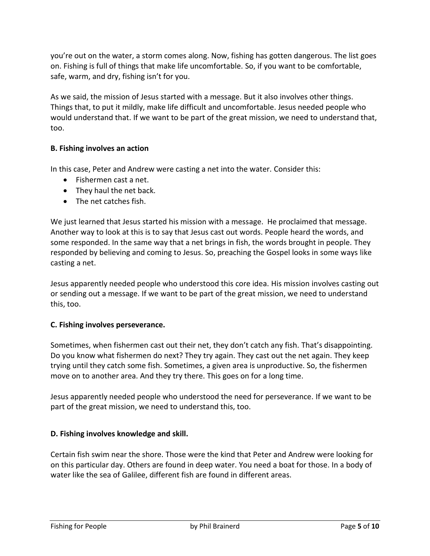you're out on the water, a storm comes along. Now, fishing has gotten dangerous. The list goes on. Fishing is full of things that make life uncomfortable. So, if you want to be comfortable, safe, warm, and dry, fishing isn't for you.

As we said, the mission of Jesus started with a message. But it also involves other things. Things that, to put it mildly, make life difficult and uncomfortable. Jesus needed people who would understand that. If we want to be part of the great mission, we need to understand that, too.

## **B. Fishing involves an action**

In this case, Peter and Andrew were casting a net into the water. Consider this:

- Fishermen cast a net.
- They haul the net back.
- The net catches fish.

We just learned that Jesus started his mission with a message. He proclaimed that message. Another way to look at this is to say that Jesus cast out words. People heard the words, and some responded. In the same way that a net brings in fish, the words brought in people. They responded by believing and coming to Jesus. So, preaching the Gospel looks in some ways like casting a net.

Jesus apparently needed people who understood this core idea. His mission involves casting out or sending out a message. If we want to be part of the great mission, we need to understand this, too.

#### **C. Fishing involves perseverance.**

Sometimes, when fishermen cast out their net, they don't catch any fish. That's disappointing. Do you know what fishermen do next? They try again. They cast out the net again. They keep trying until they catch some fish. Sometimes, a given area is unproductive. So, the fishermen move on to another area. And they try there. This goes on for a long time.

Jesus apparently needed people who understood the need for perseverance. If we want to be part of the great mission, we need to understand this, too.

#### **D. Fishing involves knowledge and skill.**

Certain fish swim near the shore. Those were the kind that Peter and Andrew were looking for on this particular day. Others are found in deep water. You need a boat for those. In a body of water like the sea of Galilee, different fish are found in different areas.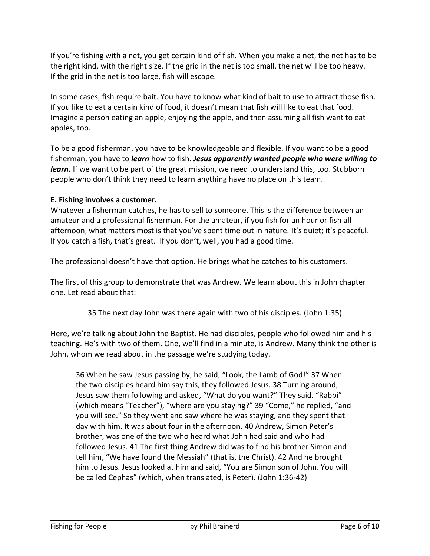If you're fishing with a net, you get certain kind of fish. When you make a net, the net has to be the right kind, with the right size. If the grid in the net is too small, the net will be too heavy. If the grid in the net is too large, fish will escape.

In some cases, fish require bait. You have to know what kind of bait to use to attract those fish. If you like to eat a certain kind of food, it doesn't mean that fish will like to eat that food. Imagine a person eating an apple, enjoying the apple, and then assuming all fish want to eat apples, too.

To be a good fisherman, you have to be knowledgeable and flexible. If you want to be a good fisherman, you have to *learn* how to fish. *Jesus apparently wanted people who were willing to learn.* If we want to be part of the great mission, we need to understand this, too. Stubborn people who don't think they need to learn anything have no place on this team.

## **E. Fishing involves a customer.**

Whatever a fisherman catches, he has to sell to someone. This is the difference between an amateur and a professional fisherman. For the amateur, if you fish for an hour or fish all afternoon, what matters most is that you've spent time out in nature. It's quiet; it's peaceful. If you catch a fish, that's great. If you don't, well, you had a good time.

The professional doesn't have that option. He brings what he catches to his customers.

The first of this group to demonstrate that was Andrew. We learn about this in John chapter one. Let read about that:

35 The next day John was there again with two of his disciples. (John 1:35)

Here, we're talking about John the Baptist. He had disciples, people who followed him and his teaching. He's with two of them. One, we'll find in a minute, is Andrew. Many think the other is John, whom we read about in the passage we're studying today.

36 When he saw Jesus passing by, he said, "Look, the Lamb of God!" 37 When the two disciples heard him say this, they followed Jesus. 38 Turning around, Jesus saw them following and asked, "What do you want?" They said, "Rabbi" (which means "Teacher"), "where are you staying?" 39 "Come," he replied, "and you will see." So they went and saw where he was staying, and they spent that day with him. It was about four in the afternoon. 40 Andrew, Simon Peter's brother, was one of the two who heard what John had said and who had followed Jesus. 41 The first thing Andrew did was to find his brother Simon and tell him, "We have found the Messiah" (that is, the Christ). 42 And he brought him to Jesus. Jesus looked at him and said, "You are Simon son of John. You will be called Cephas" (which, when translated, is Peter). (John 1:36-42)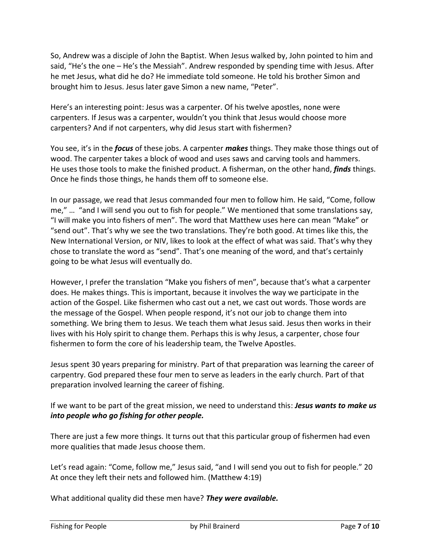So, Andrew was a disciple of John the Baptist. When Jesus walked by, John pointed to him and said, "He's the one – He's the Messiah". Andrew responded by spending time with Jesus. After he met Jesus, what did he do? He immediate told someone. He told his brother Simon and brought him to Jesus. Jesus later gave Simon a new name, "Peter".

Here's an interesting point: Jesus was a carpenter. Of his twelve apostles, none were carpenters. If Jesus was a carpenter, wouldn't you think that Jesus would choose more carpenters? And if not carpenters, why did Jesus start with fishermen?

You see, it's in the *focus* of these jobs. A carpenter *makes* things. They make those things out of wood. The carpenter takes a block of wood and uses saws and carving tools and hammers. He uses those tools to make the finished product. A fisherman, on the other hand, *finds* things. Once he finds those things, he hands them off to someone else.

In our passage, we read that Jesus commanded four men to follow him. He said, "Come, follow me," … "and I will send you out to fish for people." We mentioned that some translations say, "I will make you into fishers of men". The word that Matthew uses here can mean "Make" or "send out". That's why we see the two translations. They're both good. At times like this, the New International Version, or NIV, likes to look at the effect of what was said. That's why they chose to translate the word as "send". That's one meaning of the word, and that's certainly going to be what Jesus will eventually do.

However, I prefer the translation "Make you fishers of men", because that's what a carpenter does. He makes things. This is important, because it involves the way we participate in the action of the Gospel. Like fishermen who cast out a net, we cast out words. Those words are the message of the Gospel. When people respond, it's not our job to change them into something. We bring them to Jesus. We teach them what Jesus said. Jesus then works in their lives with his Holy spirit to change them. Perhaps this is why Jesus, a carpenter, chose four fishermen to form the core of his leadership team, the Twelve Apostles.

Jesus spent 30 years preparing for ministry. Part of that preparation was learning the career of carpentry. God prepared these four men to serve as leaders in the early church. Part of that preparation involved learning the career of fishing.

If we want to be part of the great mission, we need to understand this: *Jesus wants to make us into people who go fishing for other people.*

There are just a few more things. It turns out that this particular group of fishermen had even more qualities that made Jesus choose them.

Let's read again: "Come, follow me," Jesus said, "and I will send you out to fish for people." 20 At once they left their nets and followed him. (Matthew 4:19)

What additional quality did these men have? *They were available.*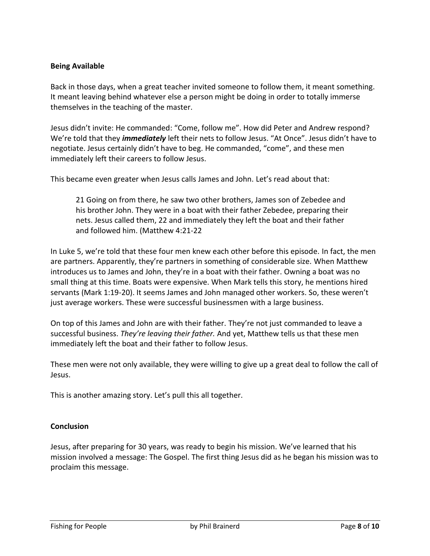#### **Being Available**

Back in those days, when a great teacher invited someone to follow them, it meant something. It meant leaving behind whatever else a person might be doing in order to totally immerse themselves in the teaching of the master.

Jesus didn't invite: He commanded: "Come, follow me". How did Peter and Andrew respond? We're told that they *immediately* left their nets to follow Jesus. "At Once". Jesus didn't have to negotiate. Jesus certainly didn't have to beg. He commanded, "come", and these men immediately left their careers to follow Jesus.

This became even greater when Jesus calls James and John. Let's read about that:

21 Going on from there, he saw two other brothers, James son of Zebedee and his brother John. They were in a boat with their father Zebedee, preparing their nets. Jesus called them, 22 and immediately they left the boat and their father and followed him. (Matthew 4:21-22

In Luke 5, we're told that these four men knew each other before this episode. In fact, the men are partners. Apparently, they're partners in something of considerable size. When Matthew introduces us to James and John, they're in a boat with their father. Owning a boat was no small thing at this time. Boats were expensive. When Mark tells this story, he mentions hired servants (Mark 1:19-20). It seems James and John managed other workers. So, these weren't just average workers. These were successful businessmen with a large business.

On top of this James and John are with their father. They're not just commanded to leave a successful business. *They're leaving their father.* And yet, Matthew tells us that these men immediately left the boat and their father to follow Jesus.

These men were not only available, they were willing to give up a great deal to follow the call of Jesus.

This is another amazing story. Let's pull this all together.

#### **Conclusion**

Jesus, after preparing for 30 years, was ready to begin his mission. We've learned that his mission involved a message: The Gospel. The first thing Jesus did as he began his mission was to proclaim this message.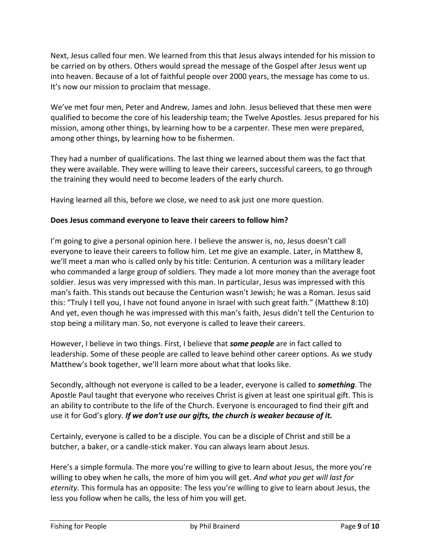Next, Jesus called four men. We learned from this that Jesus always intended for his mission to be carried on by others. Others would spread the message of the Gospel after Jesus went up into heaven. Because of a lot of faithful people over 2000 years, the message has come to us. It's now our mission to proclaim that message.

We've met four men, Peter and Andrew, James and John. Jesus believed that these men were qualified to become the core of his leadership team; the Twelve Apostles. Jesus prepared for his mission, among other things, by learning how to be a carpenter. These men were prepared, among other things, by learning how to be fishermen.

They had a number of qualifications. The last thing we learned about them was the fact that they were available. They were willing to leave their careers, successful careers, to go through the training they would need to become leaders of the early church.

Having learned all this, before we close, we need to ask just one more question.

#### **Does Jesus command everyone to leave their careers to follow him?**

I'm going to give a personal opinion here. I believe the answer is, no, Jesus doesn't call everyone to leave their careers to follow him. Let me give an example. Later, in Matthew 8, we'll meet a man who is called only by his title: Centurion. A centurion was a military leader who commanded a large group of soldiers. They made a lot more money than the average foot soldier. Jesus was very impressed with this man. In particular, Jesus was impressed with this man's faith. This stands out because the Centurion wasn't Jewish; he was a Roman. Jesus said this: "Truly I tell you, I have not found anyone in Israel with such great faith." (Matthew 8:10) And yet, even though he was impressed with this man's faith, Jesus didn't tell the Centurion to stop being a military man. So, not everyone is called to leave their careers.

However, I believe in two things. First, I believe that *some people* are in fact called to leadership. Some of these people are called to leave behind other career options. As we study Matthew's book together, we'll learn more about what that looks like.

Secondly, although not everyone is called to be a leader, everyone is called to *something*. The Apostle Paul taught that everyone who receives Christ is given at least one spiritual gift. This is an ability to contribute to the life of the Church. Everyone is encouraged to find their gift and use it for God's glory. *If we don't use our gifts, the church is weaker because of it.*

Certainly, everyone is called to be a disciple. You can be a disciple of Christ and still be a butcher, a baker, or a candle-stick maker. You can always learn about Jesus.

Here's a simple formula. The more you're willing to give to learn about Jesus, the more you're willing to obey when he calls, the more of him you will get. *And what you get will last for eternity.* This formula has an opposite: The less you're willing to give to learn about Jesus, the less you follow when he calls, the less of him you will get.